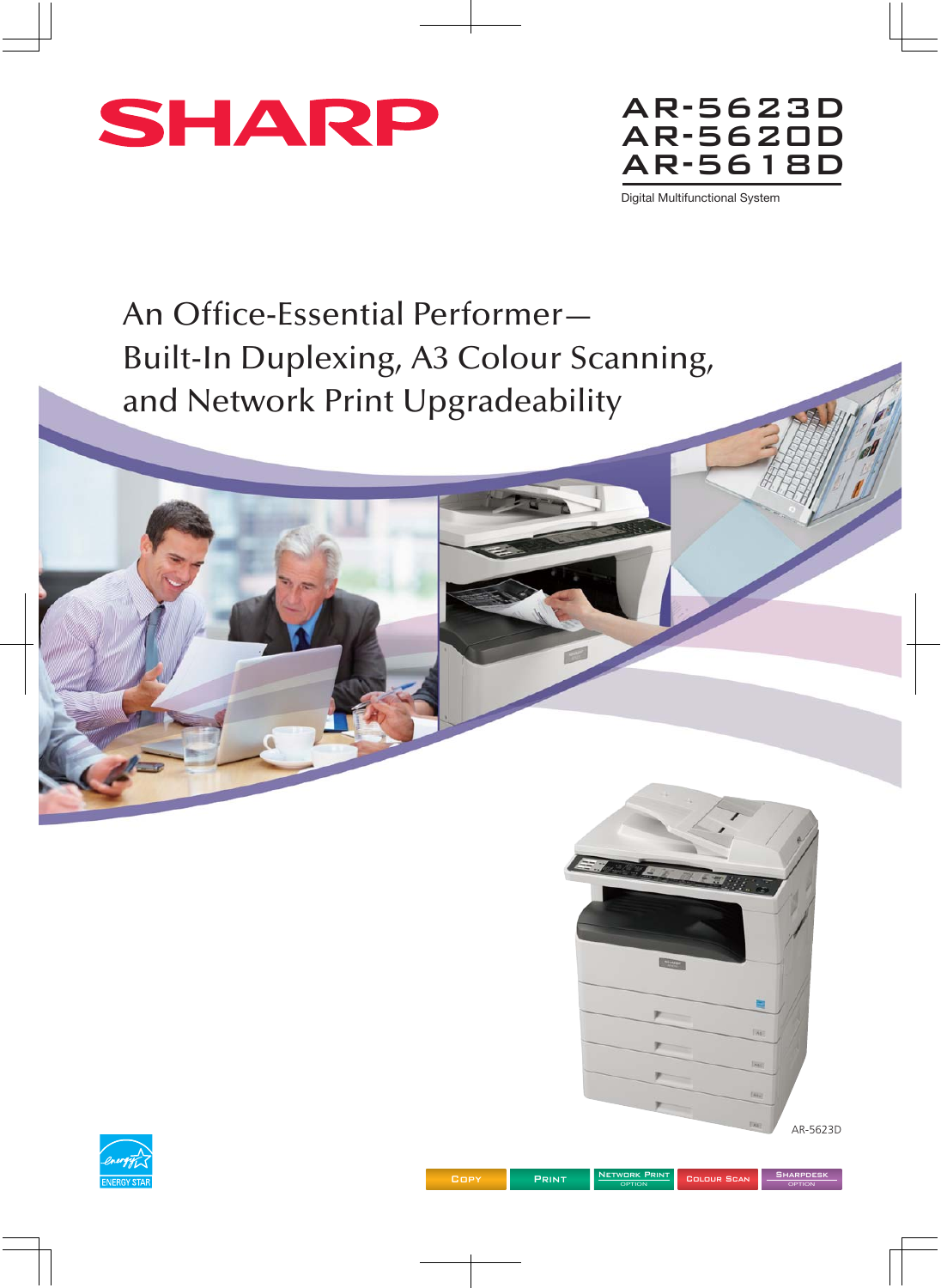



Digital Multifunctional System

An Office-Essential Performer— Built-In Duplexing, A3 Colour Scanning, and Network Print Upgradeability



OPTION